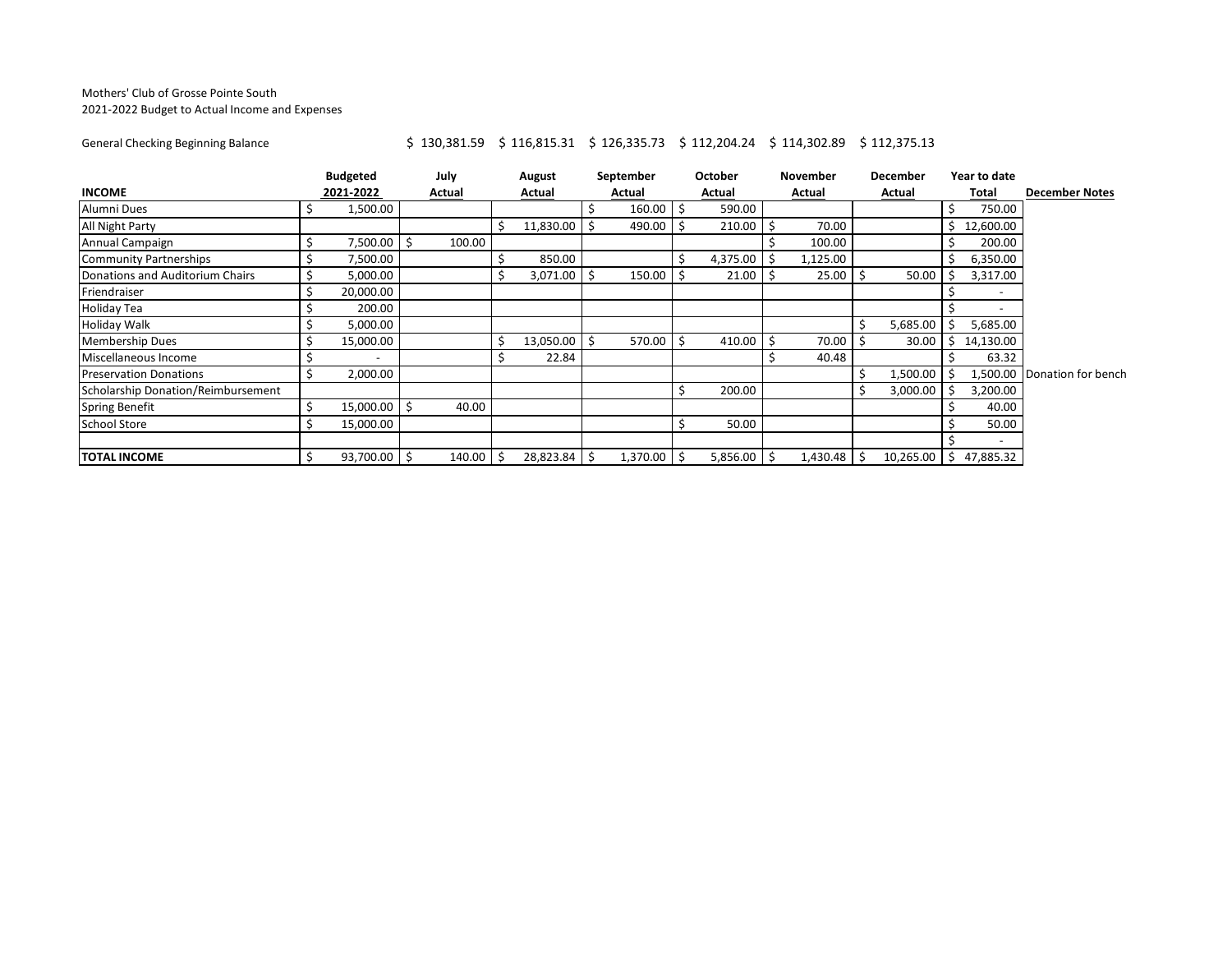## Mothers' Club of Grosse Pointe South 2021-2022 Budget to Actual Income and Expenses

## General Checking Beginning Balance <br>\$ 130,381.59 \$ 116,815.31 \$ 126,335.73 \$ 112,204.24 \$ 114,302.89 \$ 112,375.13

|                                    | <b>Budgeted</b> |                          | July |        | August |               | September |          |      | October       | <b>November</b> | <b>December</b> |    | Year to date |                             |  |  |  |
|------------------------------------|-----------------|--------------------------|------|--------|--------|---------------|-----------|----------|------|---------------|-----------------|-----------------|----|--------------|-----------------------------|--|--|--|
| <b>INCOME</b>                      |                 | 2021-2022                |      | Actual |        | Actual        |           | Actual   |      | Actual        | Actual          | Actual          |    | Total        | <b>December Notes</b>       |  |  |  |
| Alumni Dues                        |                 | 1,500.00                 |      |        |        |               |           | 160.00   | ۱\$  | 590.00        |                 |                 | \$ | 750.00       |                             |  |  |  |
| All Night Party                    |                 |                          |      |        |        | 11,830.00     |           | 490.00   |      | $210.00$ \$   | 70.00           |                 | S. | 12,600.00    |                             |  |  |  |
| Annual Campaign                    | Ś               | 7,500.00                 |      | 100.00 |        |               |           |          |      |               | 100.00          |                 | Ŝ  | 200.00       |                             |  |  |  |
| <b>Community Partnerships</b>      | \$              | 7,500.00                 |      |        |        | 850.00        |           |          |      | $4,375.00$ \$ | 1,125.00        |                 | S  | 6,350.00     |                             |  |  |  |
| Donations and Auditorium Chairs    |                 | 5,000.00                 |      |        |        | $3,071.00$ \$ |           | 150.00   |      | $21.00$   \$  | $25.00$ \$      | 50.00           |    | 3,317.00     |                             |  |  |  |
| Friendraiser                       | Ś               | 20,000.00                |      |        |        |               |           |          |      |               |                 |                 |    |              |                             |  |  |  |
| <b>Holiday Tea</b>                 |                 | 200.00                   |      |        |        |               |           |          |      |               |                 |                 |    |              |                             |  |  |  |
| <b>Holiday Walk</b>                |                 | 5,000.00                 |      |        |        |               |           |          |      |               |                 | 5,685.00        |    | 5,685.00     |                             |  |  |  |
| <b>Membership Dues</b>             |                 | 15,000.00                |      |        |        | 13,050.00     |           | 570.00   |      | $410.00$ \$   | 70.00           | 30.00           | S  | 14,130.00    |                             |  |  |  |
| Miscellaneous Income               |                 | $\overline{\phantom{a}}$ |      |        |        | 22.84         |           |          |      |               | 40.48           |                 |    | 63.32        |                             |  |  |  |
| <b>Preservation Donations</b>      | Ś               | 2,000.00                 |      |        |        |               |           |          |      |               |                 | 1,500.00        |    |              | 1,500.00 Donation for bench |  |  |  |
| Scholarship Donation/Reimbursement |                 |                          |      |        |        |               |           |          |      | 200.00        |                 | 3,000.00        |    | 3,200.00     |                             |  |  |  |
| <b>Spring Benefit</b>              | \$              | 15,000.00                |      | 40.00  |        |               |           |          |      |               |                 |                 |    | 40.00        |                             |  |  |  |
| <b>School Store</b>                | Ś               | 15,000.00                |      |        |        |               |           |          |      | 50.00         |                 |                 |    | 50.00        |                             |  |  |  |
|                                    |                 |                          |      |        |        |               |           |          |      |               |                 |                 |    |              |                             |  |  |  |
| <b>TOTAL INCOME</b>                |                 | 93,700.00 \$             |      | 140.00 |        | 28,823.84 \$  |           | 1,370.00 | ∣ \$ | $5,856.00$ \$ | $1,430.48$ \$   | $10,265.00$ \$  |    | 47,885.32    |                             |  |  |  |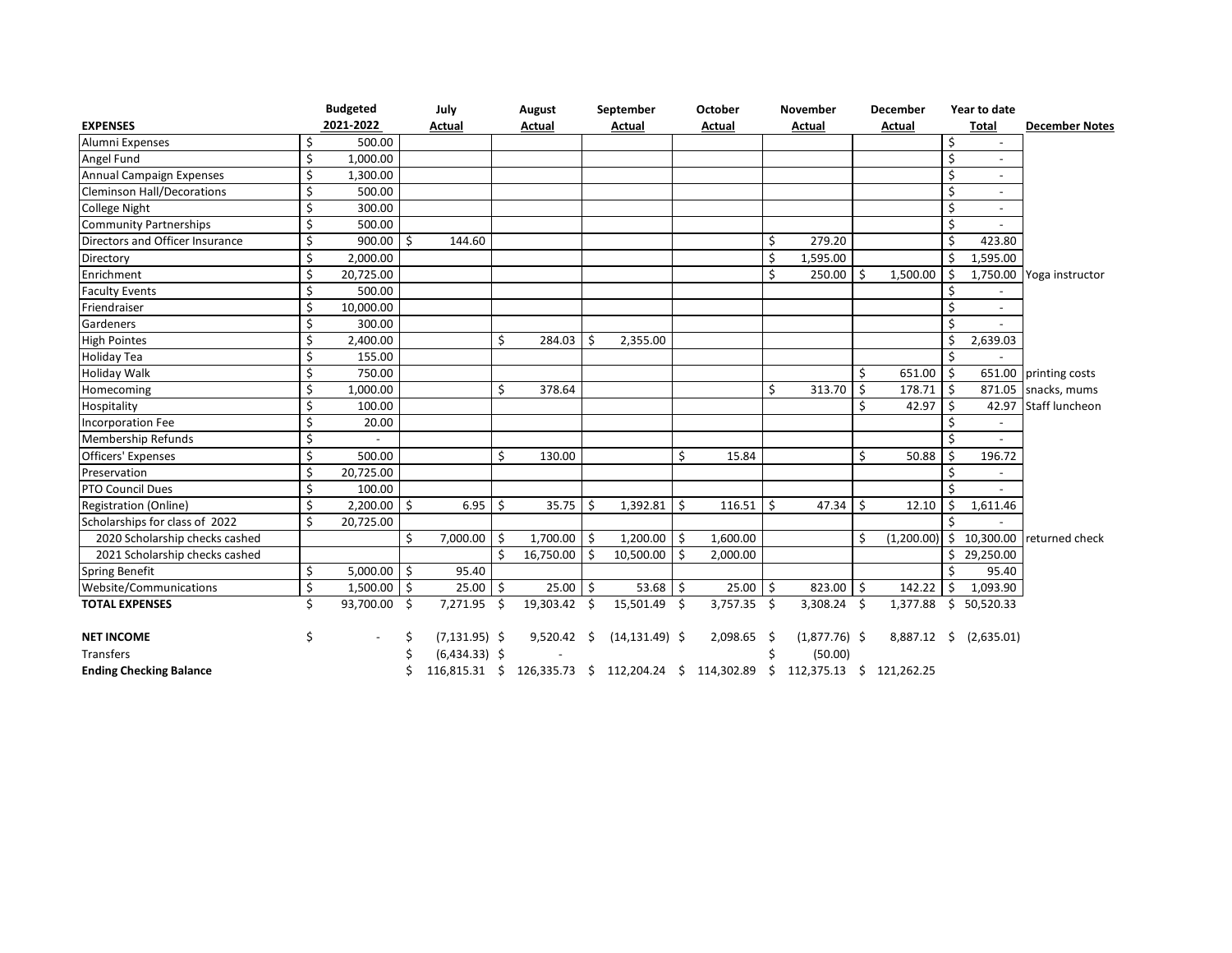| <b>EXPENSES</b>                   |    | <b>Budgeted</b><br>2021-2022 |     | July<br>Actual   |    | August<br>Actual   |                    | September                                                                        |    | October       |    | November        | December |             | Year to date       |                          |                             |
|-----------------------------------|----|------------------------------|-----|------------------|----|--------------------|--------------------|----------------------------------------------------------------------------------|----|---------------|----|-----------------|----------|-------------|--------------------|--------------------------|-----------------------------|
|                                   |    |                              |     |                  |    |                    |                    | Actual                                                                           |    | Actual        |    | Actual          |          | Actual      |                    | Total                    | <b>December Notes</b>       |
| Alumni Expenses                   | \$ | 500.00                       |     |                  |    |                    |                    |                                                                                  |    |               |    |                 |          |             | \$                 |                          |                             |
| Angel Fund                        | \$ | 1,000.00                     |     |                  |    |                    |                    |                                                                                  |    |               |    |                 |          |             | \$                 |                          |                             |
| Annual Campaign Expenses          | \$ | 1,300.00                     |     |                  |    |                    |                    |                                                                                  |    |               |    |                 |          |             | \$                 |                          |                             |
| <b>Cleminson Hall/Decorations</b> | \$ | 500.00                       |     |                  |    |                    |                    |                                                                                  |    |               |    |                 |          |             | \$                 |                          |                             |
| College Night                     | \$ | 300.00                       |     |                  |    |                    |                    |                                                                                  |    |               |    |                 |          |             | Ś                  | $\overline{\phantom{0}}$ |                             |
| <b>Community Partnerships</b>     | \$ | 500.00                       |     |                  |    |                    |                    |                                                                                  |    |               |    |                 |          |             | Ś                  |                          |                             |
| Directors and Officer Insurance   | \$ | 900.00                       | Ś.  | 144.60           |    |                    |                    |                                                                                  |    |               | Ś  | 279.20          |          |             | Ŝ.                 | 423.80                   |                             |
| Directory                         | \$ | 2,000.00                     |     |                  |    |                    |                    |                                                                                  |    |               | \$ | 1,595.00        |          |             | \$                 | 1,595.00                 |                             |
| Enrichment                        | \$ | 20,725.00                    |     |                  |    |                    |                    |                                                                                  |    |               | \$ | 250.00          | Ś.       | 1,500.00    | \$                 |                          | 1,750.00 Yoga instructor    |
| <b>Faculty Events</b>             | \$ | 500.00                       |     |                  |    |                    |                    |                                                                                  |    |               |    |                 |          |             | Ś.                 |                          |                             |
| Friendraiser                      | \$ | 10,000.00                    |     |                  |    |                    |                    |                                                                                  |    |               |    |                 |          |             | \$                 | $\overline{\phantom{a}}$ |                             |
| Gardeners                         | \$ | 300.00                       |     |                  |    |                    |                    |                                                                                  |    |               |    |                 |          |             | Ś                  |                          |                             |
| <b>High Pointes</b>               | \$ | 2,400.00                     |     |                  | Ś  | 284.03             | Ŝ.                 | 2,355.00                                                                         |    |               |    |                 |          |             | \$                 | 2,639.03                 |                             |
| Holiday Tea                       | \$ | 155.00                       |     |                  |    |                    |                    |                                                                                  |    |               |    |                 |          |             | Ŝ.                 |                          |                             |
| Holiday Walk                      | \$ | 750.00                       |     |                  |    |                    |                    |                                                                                  |    |               |    |                 | Ś        | 651.00      | $\mathsf{\hat{S}}$ |                          | 651.00 printing costs       |
| Homecoming                        | \$ | 1.000.00                     |     |                  | Ś. | 378.64             |                    |                                                                                  |    |               | Ś. | 313.70          | Ŝ.       | 178.71      | Ŝ.                 |                          | 871.05 snacks, mums         |
| Hospitality                       | \$ | 100.00                       |     |                  |    |                    |                    |                                                                                  |    |               |    |                 | Ś        | 42.97       | Ŝ.                 |                          | 42.97 Staff luncheon        |
| Incorporation Fee                 | \$ | 20.00                        |     |                  |    |                    |                    |                                                                                  |    |               |    |                 |          |             | Ś                  |                          |                             |
| Membership Refunds                | \$ |                              |     |                  |    |                    |                    |                                                                                  |    |               |    |                 |          |             | Ś                  |                          |                             |
| <b>Officers' Expenses</b>         | \$ | 500.00                       |     |                  | Ś  | 130.00             |                    |                                                                                  | Ś. | 15.84         |    |                 | Ś        | 50.88       | Ś                  | 196.72                   |                             |
| Preservation                      | \$ | 20,725.00                    |     |                  |    |                    |                    |                                                                                  |    |               |    |                 |          |             | Ś                  |                          |                             |
| <b>PTO Council Dues</b>           | \$ | 100.00                       |     |                  |    |                    |                    |                                                                                  |    |               |    |                 |          |             | Ś                  |                          |                             |
| <b>Registration (Online)</b>      | \$ | 2,200.00                     | Ŝ.  | 6.95             | Ś. | 35.75              | -Ś                 | $1,392.81$ \$                                                                    |    | 116.51        | Ŝ. | 47.34           | Ŝ.       | 12.10       | Ŝ.                 | 1,611.46                 |                             |
| Scholarships for class of 2022    | \$ | 20,725.00                    |     |                  |    |                    |                    |                                                                                  |    |               |    |                 |          |             |                    |                          |                             |
| 2020 Scholarship checks cashed    |    |                              | Ŝ.  | 7,000.00         | Ŝ. | 1,700.00           | Ŝ.                 | $1,200.00$ \$                                                                    |    | 1,600.00      |    |                 | Ś        | (1,200.00)  |                    |                          | \$ 10,300.00 returned check |
| 2021 Scholarship checks cashed    |    |                              |     |                  | Ŝ. | 16,750.00          | - Ś                | 10,500.00                                                                        | Ŝ. | 2,000.00      |    |                 |          |             |                    | \$29,250.00              |                             |
| <b>Spring Benefit</b>             | \$ | $5,000.00$ \$                |     | 95.40            |    |                    |                    |                                                                                  |    |               |    |                 |          |             | \$                 | 95.40                    |                             |
| Website/Communications            | \$ | 1,500.00                     | l s | $25.00$   \$     |    | 25.00              | $\mathsf{\hat{S}}$ | $53.68$ \$                                                                       |    | $25.00$ \$    |    | 823.00 \$       |          | $142.22$ \$ |                    | 1,093.90                 |                             |
| <b>TOTAL EXPENSES</b>             | Ś. | 93,700.00 \$                 |     | 7,271.95 \$      |    | 19,303.42          | S.                 | 15,501.49 \$                                                                     |    | 3,757.35 \$   |    | 3,308.24 \$     |          |             |                    | 1,377.88 \$ 50,520.33    |                             |
| <b>NET INCOME</b>                 | \$ |                              |     | $(7, 131.95)$ \$ |    | $9,520.42 \quad $$ |                    | $(14, 131.49)$ \$                                                                |    | $2,098.65$ \$ |    | $(1,877.76)$ \$ |          |             |                    | 8,887.12 \$ (2,635.01)   |                             |
| Transfers                         |    |                              |     | $(6,434.33)$ \$  |    |                    |                    |                                                                                  |    |               |    | (50.00)         |          |             |                    |                          |                             |
| <b>Ending Checking Balance</b>    |    |                              |     |                  |    |                    |                    | 116,815.31 \$ 126,335.73 \$ 112,204.24 \$ 114,302.89 \$ 112,375.13 \$ 121,262.25 |    |               |    |                 |          |             |                    |                          |                             |